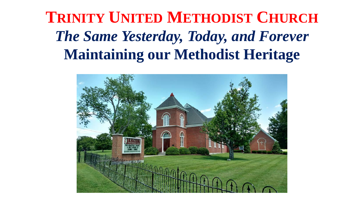## **TRINITY UNITED METHODIST CHURCH** *The Same Yesterday, Today, and Forever* **Maintaining our Methodist Heritage**

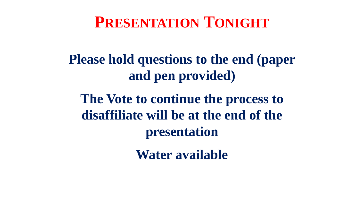## **PRESENTATION TONIGHT**

### **Please hold questions to the end (paper and pen provided)**

**The Vote to continue the process to disaffiliate will be at the end of the presentation**

**Water available**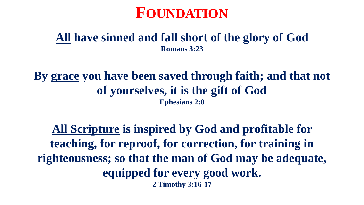

#### **All have sinned and fall short of the glory of God Romans 3:23**

**By grace you have been saved through faith; and that not of yourselves, it is the gift of God Ephesians 2:8**

**All Scripture is inspired by God and profitable for teaching, for reproof, for correction, for training in righteousness; so that the man of God may be adequate, equipped for every good work. 2 Timothy 3:16-17**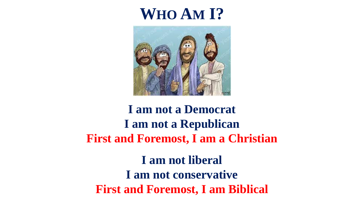## **WHO AM I?**



### **I am not a Democrat I am not a Republican First and Foremost, I am a Christian**

**I am not liberal I am not conservative First and Foremost, I am Biblical**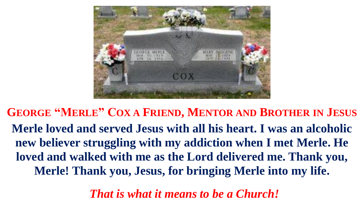

**GEORGE "MERLE" COX A FRIEND, MENTOR AND BROTHER IN JESUS Merle loved and served Jesus with all his heart. I was an alcoholic new believer struggling with my addiction when I met Merle. He loved and walked with me as the Lord delivered me. Thank you, Merle! Thank you, Jesus, for bringing Merle into my life.**

*That is what it means to be a Church!*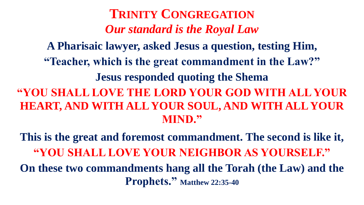**TRINITY CONGREGATION** *Our standard is the Royal Law* **A Pharisaic lawyer, asked Jesus a question, testing Him, "Teacher, which is the great commandment in the Law?" Jesus responded quoting the Shema "YOU SHALL LOVE THE LORD YOUR GOD WITH ALL YOUR HEART, AND WITH ALL YOUR SOUL, AND WITH ALL YOUR MIND."** 

**This is the great and foremost commandment. The second is like it, "YOU SHALL LOVE YOUR NEIGHBOR AS YOURSELF." On these two commandments hang all the Torah (the Law) and the Prophets." Matthew 22:35-40**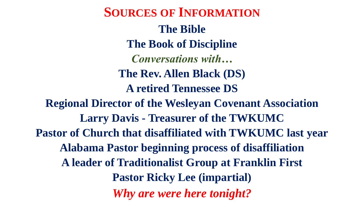**SOURCES OF INFORMATION The Bible The Book of Discipline** *Conversations with…* **The Rev. Allen Black (DS) A retired Tennessee DS Regional Director of the Wesleyan Covenant Association Larry Davis - Treasurer of the TWKUMC Pastor of Church that disaffiliated with TWKUMC last year Alabama Pastor beginning process of disaffiliation A leader of Traditionalist Group at Franklin First Pastor Ricky Lee (impartial)** *Why are were here tonight?*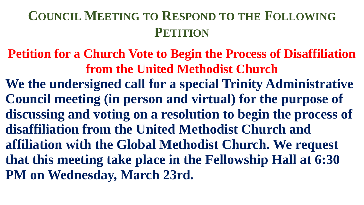### **COUNCIL MEETING TO RESPOND TO THE FOLLOWING PETITION**

**Petition for a Church Vote to Begin the Process of Disaffiliation from the United Methodist Church**

**We the undersigned call for a special Trinity Administrative Council meeting (in person and virtual) for the purpose of discussing and voting on a resolution to begin the process of disaffiliation from the United Methodist Church and affiliation with the Global Methodist Church. We request that this meeting take place in the Fellowship Hall at 6:30 PM on Wednesday, March 23rd.**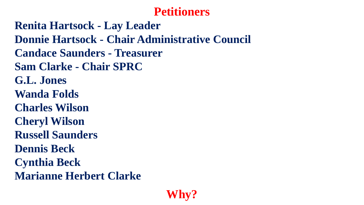#### **Petitioners**

**Renita Hartsock - Lay Leader Donnie Hartsock - Chair Administrative Council Candace Saunders - Treasurer Sam Clarke - Chair SPRC G.L. Jones Wanda Folds Charles Wilson Cheryl Wilson Russell Saunders Dennis Beck Cynthia Beck Marianne Herbert Clarke**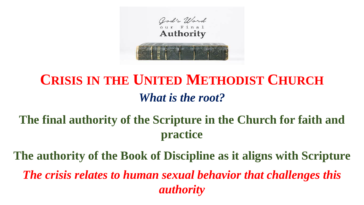

## **CRISIS IN THE UNITED METHODIST CHURCH** *What is the root?*

### **The final authority of the Scripture in the Church for faith and practice**

**The authority of the Book of Discipline as it aligns with Scripture** *The crisis relates to human sexual behavior that challenges this authority*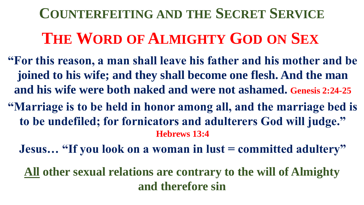**THE WORD OF ALMIGHTY GOD ON SEX COUNTERFEITING AND THE SECRET SERVICE**

- **"For this reason, a man shall leave his father and his mother and be joined to his wife; and they shall become one flesh. And the man and his wife were both naked and were not ashamed. Genesis 2:24-25**
- **"Marriage is to be held in honor among all, and the marriage bed is to be undefiled; for fornicators and adulterers God will judge." Hebrews 13:4**

**Jesus... "If you look on a woman in lust = committed adultery"** 

**All other sexual relations are contrary to the will of Almighty and therefore sin**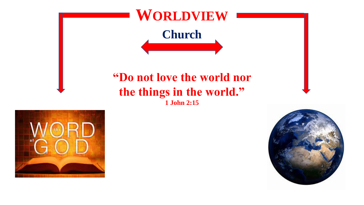



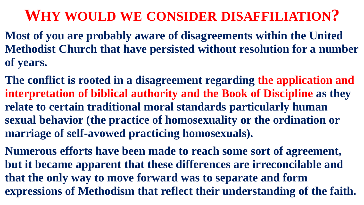## **WHY WOULD WE CONSIDER DISAFFILIATION?**

- **Most of you are probably aware of disagreements within the United Methodist Church that have persisted without resolution for a number of years.**
- **The conflict is rooted in a disagreement regarding the application and interpretation of biblical authority and the Book of Discipline as they relate to certain traditional moral standards particularly human sexual behavior (the practice of homosexuality or the ordination or marriage of self-avowed practicing homosexuals).**
- **Numerous efforts have been made to reach some sort of agreement, but it became apparent that these differences are irreconcilable and that the only way to move forward was to separate and form expressions of Methodism that reflect their understanding of the faith.**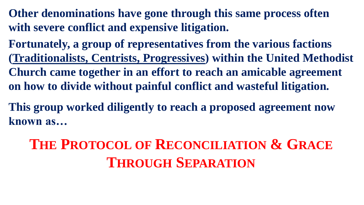**Other denominations have gone through this same process often with severe conflict and expensive litigation.**

**Fortunately, a group of representatives from the various factions (Traditionalists, Centrists, Progressives) within the United Methodist Church came together in an effort to reach an amicable agreement on how to divide without painful conflict and wasteful litigation.**

**This group worked diligently to reach a proposed agreement now known as…**

**THE PROTOCOL OF RECONCILIATION & GRACE THROUGH SEPARATION**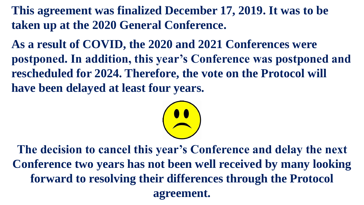**This agreement was finalized December 17, 2019. It was to be taken up at the 2020 General Conference.**

**As a result of COVID, the 2020 and 2021 Conferences were postponed. In addition, this year's Conference was postponed and rescheduled for 2024. Therefore, the vote on the Protocol will have been delayed at least four years.**



**The decision to cancel this year's Conference and delay the next Conference two years has not been well received by many looking forward to resolving their differences through the Protocol agreement.**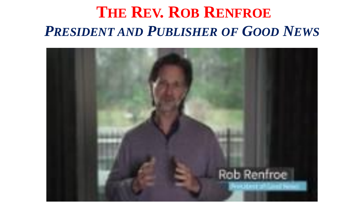## **THE REV. ROB RENFROE** *PRESIDENT AND PUBLISHER OF GOOD NEWS*

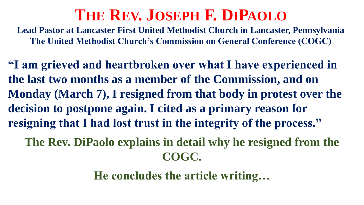## **THE REV. JOSEPH F. DIPAOLO**

**Lead Pastor at Lancaster First United Methodist Church in Lancaster, Pennsylvania The United Methodist Church's Commission on General Conference (COGC)**

**"I am grieved and heartbroken over what I have experienced in the last two months as a member of the Commission, and on Monday (March 7), I resigned from that body in protest over the decision to postpone again. I cited as a primary reason for resigning that I had lost trust in the integrity of the process."** 

**The Rev. DiPaolo explains in detail why he resigned from the COGC.**

**He concludes the article writing…**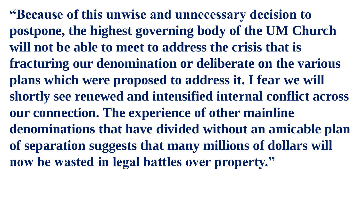**"Because of this unwise and unnecessary decision to postpone, the highest governing body of the UM Church will not be able to meet to address the crisis that is fracturing our denomination or deliberate on the various plans which were proposed to address it. I fear we will shortly see renewed and intensified internal conflict across our connection. The experience of other mainline denominations that have divided without an amicable plan of separation suggests that many millions of dollars will now be wasted in legal battles over property."**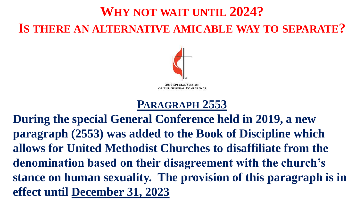### **WHY NOT WAIT UNTIL 2024? IS THERE AN ALTERNATIVE AMICABLE WAY TO SEPARATE?**



**2019 SPECIAL SESSION GENERAL CONFERENCE** 

### **PARAGRAPH 2553**

**During the special General Conference held in 2019, a new paragraph (2553) was added to the Book of Discipline which allows for United Methodist Churches to disaffiliate from the denomination based on their disagreement with the church's stance on human sexuality. The provision of this paragraph is in effect until December 31, 2023**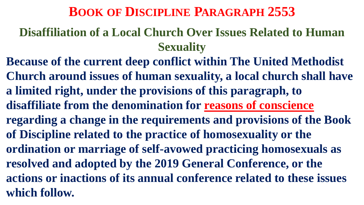### **BOOK OF DISCIPLINE PARAGRAPH 2553**

### **Disaffiliation of a Local Church Over Issues Related to Human Sexuality**

**Because of the current deep conflict within The United Methodist Church around issues of human sexuality, a local church shall have a limited right, under the provisions of this paragraph, to disaffiliate from the denomination for reasons of conscience regarding a change in the requirements and provisions of the Book of Discipline related to the practice of homosexuality or the ordination or marriage of self-avowed practicing homosexuals as resolved and adopted by the 2019 General Conference, or the actions or inactions of its annual conference related to these issues which follow.**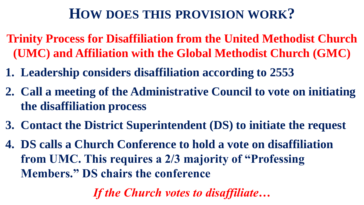### **HOW DOES THIS PROVISION WORK?**

- **Trinity Process for Disaffiliation from the United Methodist Church (UMC) and Affiliation with the Global Methodist Church (GMC)**
- **1. Leadership considers disaffiliation according to 2553**
- **2. Call a meeting of the Administrative Council to vote on initiating the disaffiliation process**
- **3. Contact the District Superintendent (DS) to initiate the request**
- **4. DS calls a Church Conference to hold a vote on disaffiliation from UMC. This requires a 2/3 majority of "Professing Members." DS chairs the conference**

*If the Church votes to disaffiliate…*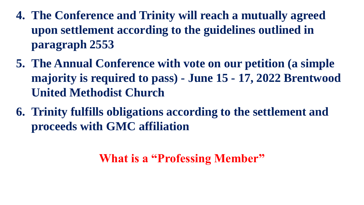- **4. The Conference and Trinity will reach a mutually agreed upon settlement according to the guidelines outlined in paragraph 2553**
- **5. The Annual Conference with vote on our petition (a simple majority is required to pass) - June 15 - 17, 2022 Brentwood United Methodist Church**
- **6. Trinity fulfills obligations according to the settlement and proceeds with GMC affiliation**

### **What is a "Professing Member"**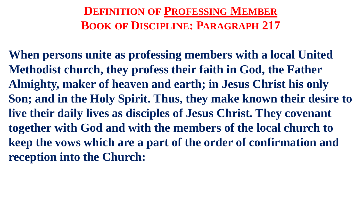**DEFINITION OF PROFESSING MEMBER BOOK OF DISCIPLINE: PARAGRAPH 217**

**When persons unite as professing members with a local United Methodist church, they profess their faith in God, the Father Almighty, maker of heaven and earth; in Jesus Christ his only Son; and in the Holy Spirit. Thus, they make known their desire to live their daily lives as disciples of Jesus Christ. They covenant together with God and with the members of the local church to keep the vows which are a part of the order of confirmation and reception into the Church:**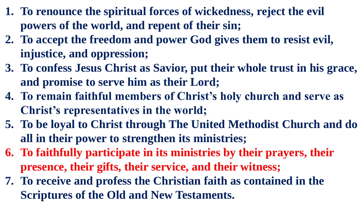- **1. To renounce the spiritual forces of wickedness, reject the evil powers of the world, and repent of their sin;**
- **2. To accept the freedom and power God gives them to resist evil, injustice, and oppression;**
- **3. To confess Jesus Christ as Savior, put their whole trust in his grace, and promise to serve him as their Lord;**
- **4. To remain faithful members of Christ's holy church and serve as Christ's representatives in the world;**
- **5. To be loyal to Christ through The United Methodist Church and do all in their power to strengthen its ministries;**
- **6. To faithfully participate in its ministries by their prayers, their presence, their gifts, their service, and their witness;**
- **7. To receive and profess the Christian faith as contained in the Scriptures of the Old and New Testaments.**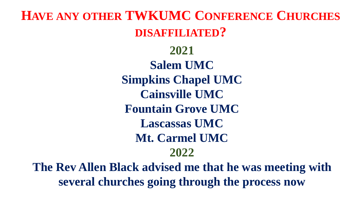**HAVE ANY OTHER TWKUMC CONFERENCE CHURCHES DISAFFILIATED?**

> **2021 Salem UMC Simpkins Chapel UMC Cainsville UMC Fountain Grove UMC Lascassas UMC Mt. Carmel UMC 2022**

**The Rev Allen Black advised me that he was meeting with several churches going through the process now**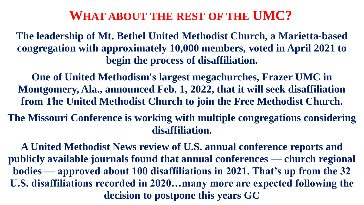#### **WHAT ABOUT THE REST OF THE UMC?**

**The leadership of Mt. Bethel United Methodist Church, a Marietta-based congregation with approximately 10,000 members, voted in April 2021 to begin the process of disaffiliation.**

**One of United Methodism's largest megachurches, Frazer UMC in Montgomery, Ala., announced Feb. 1, 2022, that it will seek disaffiliation from The United Methodist Church to join the Free Methodist Church.**

**The Missouri Conference is working with multiple congregations considering disaffiliation.**

**A United Methodist News review of U.S. annual conference reports and publicly available journals found that annual conferences — church regional bodies — approved about 100 disaffiliations in 2021. That's up from the 32 U.S. disaffiliations recorded in 2020…many more are expected following the decision to postpone this years GC**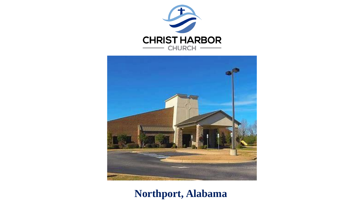



**Northport, Alabama**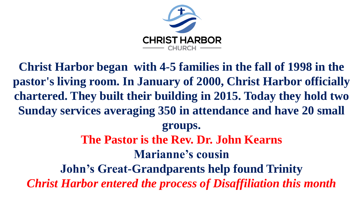

**Christ Harbor began with 4-5 families in the fall of 1998 in the pastor's living room. In January of 2000, Christ Harbor officially chartered. They built their building in 2015. Today they hold two Sunday services averaging 350 in attendance and have 20 small groups. The Pastor is the Rev. Dr. John Kearns Marianne's cousin John's Great-Grandparents help found Trinity** *Christ Harbor entered the process of Disaffiliation this month*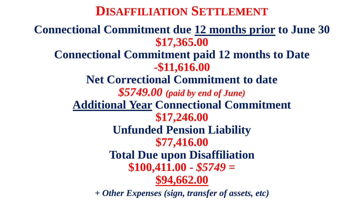**DISAFFILIATION SETTLEMENT**

**Connectional Commitment due 12 months prior to June 30 \$17,365.00 Connectional Commitment paid 12 months to Date -\$11,616.00 Net Correctional Commitment to date** *\$5749.00 (paid by end of June)* **Additional Year Connectional Commitment \$17,246.00 Unfunded Pension Liability \$77,416.00 Total Due upon Disaffiliation \$100,411.00 -** *\$5749* **= \$94,662.00** 

*+ Other Expenses (sign, transfer of assets, etc)*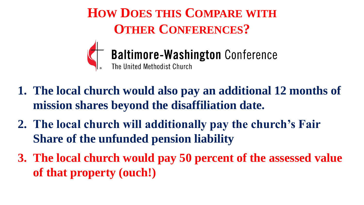**HOW DOES THIS COMPARE WITH OTHER CONFERENCES?**



#### **Baltimore-Washington Conference** The United Methodist Church

- **1. The local church would also pay an additional 12 months of mission shares beyond the disaffiliation date.**
- **2. The local church will additionally pay the church's Fair Share of the unfunded pension liability**
- **3. The local church would pay 50 percent of the assessed value of that property (ouch!)**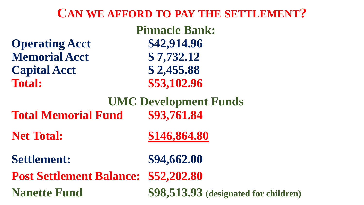### **CAN WE AFFORD TO PAY THE SETTLEMENT?**

| <b>Pinnacle Bank:</b>           |                                       |
|---------------------------------|---------------------------------------|
| <b>Operating Acct</b>           | \$42,914.96                           |
| <b>Memorial Acct</b>            | \$7,732.12                            |
| <b>Capital Acct</b>             | \$2,455.88                            |
| <b>Total:</b>                   | \$53,102.96                           |
| <b>UMC Development Funds</b>    |                                       |
| <b>Total Memorial Fund</b>      | \$93,761.84                           |
| <b>Net Total:</b>               | \$146,864.80                          |
| <b>Settlement:</b>              | \$94,662.00                           |
| <b>Post Settlement Balance:</b> | \$52,202.80                           |
| <b>Nanette Fund</b>             | \$98,513.93 (designated for children) |
|                                 |                                       |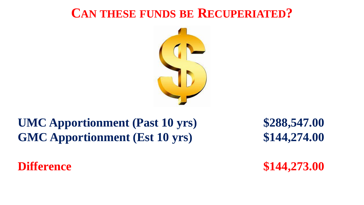### **CAN THESE FUNDS BE RECUPERIATED?**



### **UMC Apportionment (Past 10 yrs) \$288,547.00 GMC Apportionment (Est 10 yrs) \$144,274.00**

**Difference \$144,273.00**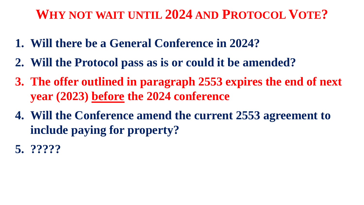### **WHY NOT WAIT UNTIL 2024 AND PROTOCOL VOTE?**

- **1. Will there be a General Conference in 2024?**
- **2. Will the Protocol pass as is or could it be amended?**
- **3. The offer outlined in paragraph 2553 expires the end of next year (2023) before the 2024 conference**
- **4. Will the Conference amend the current 2553 agreement to include paying for property?**
- **5. ?????**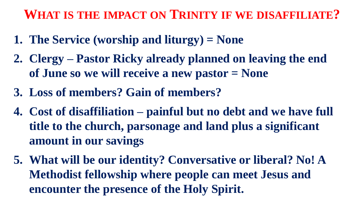### **WHAT IS THE IMPACT ON TRINITY IF WE DISAFFILIATE?**

- **1. The Service (worship and liturgy) = None**
- **2. Clergy – Pastor Ricky already planned on leaving the end of June so we will receive a new pastor = None**
- **3. Loss of members? Gain of members?**
- **4. Cost of disaffiliation – painful but no debt and we have full title to the church, parsonage and land plus a significant amount in our savings**
- **5. What will be our identity? Conversative or liberal? No! A Methodist fellowship where people can meet Jesus and encounter the presence of the Holy Spirit.**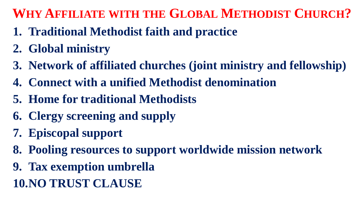### **WHY AFFILIATE WITH THE GLOBAL METHODIST CHURCH?**

- **1. Traditional Methodist faith and practice**
- **2. Global ministry**
- **3. Network of affiliated churches (joint ministry and fellowship)**
- **4. Connect with a unified Methodist denomination**
- **5. Home for traditional Methodists**
- **6. Clergy screening and supply**
- **7. Episcopal support**
- **8. Pooling resources to support worldwide mission network**
- **9. Tax exemption umbrella**
- **10.NO TRUST CLAUSE**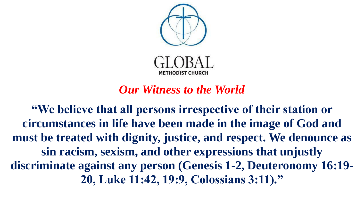

#### *Our Witness to the World*

**"We believe that all persons irrespective of their station or circumstances in life have been made in the image of God and must be treated with dignity, justice, and respect. We denounce as sin racism, sexism, and other expressions that unjustly discriminate against any person (Genesis 1-2, Deuteronomy 16:19- 20, Luke 11:42, 19:9, Colossians 3:11)."**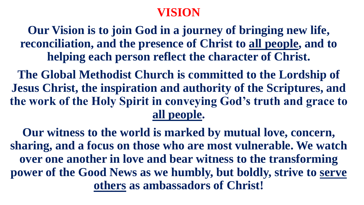#### **VISION**

**Our Vision is to join God in a journey of bringing new life, reconciliation, and the presence of Christ to all people, and to helping each person reflect the character of Christ.**

**The Global Methodist Church is committed to the Lordship of Jesus Christ, the inspiration and authority of the Scriptures, and the work of the Holy Spirit in conveying God's truth and grace to all people.**

**Our witness to the world is marked by mutual love, concern, sharing, and a focus on those who are most vulnerable. We watch over one another in love and bear witness to the transforming power of the Good News as we humbly, but boldly, strive to serve others as ambassadors of Christ!**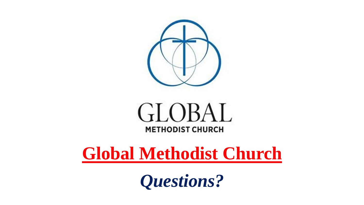<span id="page-37-0"></span>



# **[Global Methodist Church](#page-37-0)**

*Questions?*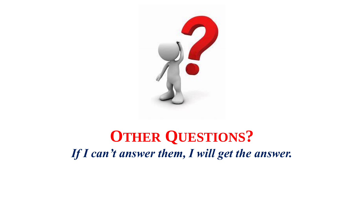

## **OTHER QUESTIONS?** *If I can't answer them, I will get the answer.*